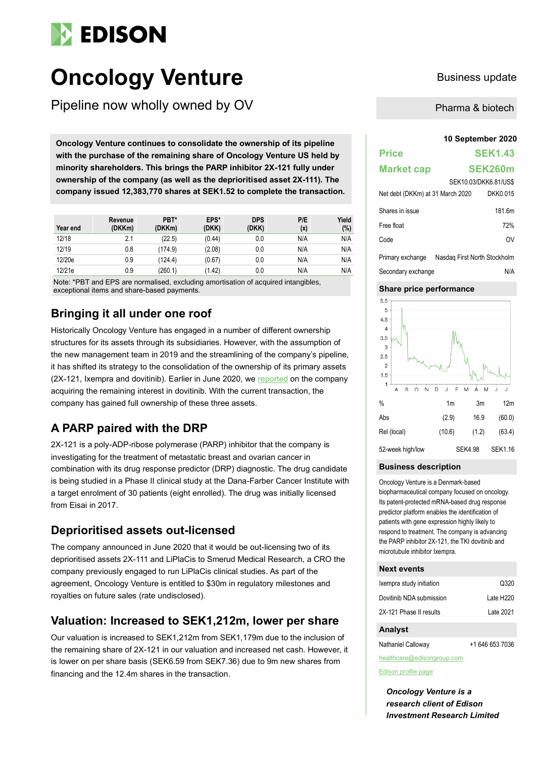# **EDISON**

## **Oncology Venture** Business update

Pipeline now wholly owned by OV

**10 September 2020 Oncology Venture continues to consolidate the ownership of its pipeline with the purchase of the remaining share of Oncology Venture US held by minority shareholders. This brings the PARP inhibitor 2X-121 fully under ownership of the company (as well as the deprioritised asset 2X-111). The company issued 12,383,770 shares at SEK1.52 to complete the transaction.** 

| Year end | Revenue<br>(DKKm) | PBT*<br>(DKKm) | EPS*<br>(DKK) | <b>DPS</b><br>(DKK) | P/E<br>(x) | Yield<br>(%) |
|----------|-------------------|----------------|---------------|---------------------|------------|--------------|
| 12/18    | 2.1               | (22.5)         | (0.44)        | 0.0                 | N/A        | N/A          |
| 12/19    | 0.8               | (174.9)        | (2.08)        | 0.0                 | N/A        | N/A          |
| 12/20e   | 0.9               | (124.4)        | (0.67)        | 0.0                 | N/A        | N/A          |
| 12/21e   | 0.9               | (260.1)        | (1.42)        | 0.0                 | N/A        | N/A          |

Note: \*PBT and EPS are normalised, excluding amortisation of acquired intangibles, exceptional items and share-based payments.

## **Bringing it all under one roof**

Historically Oncology Venture has engaged in a number of different ownership structures for its assets through its subsidiaries. However, with the assumption of the new management team in 2019 and the streamlining of the company's pipeline, it has shifted its strategy to the consolidation of the ownership of its primary assets (2X-121, Ixempra and dovitinib). Earlier in June 2020, we [reported](https://www.edisongroup.com/publication/company-consolidates-ownership-of-dovitinib/27031/) on the company acquiring the remaining interest in dovitinib. With the current transaction, the company has gained full ownership of these three assets.

## **A PARP paired with the DRP**

2X-121 is a poly-ADP-ribose polymerase (PARP) inhibitor that the company is investigating for the treatment of metastatic breast and ovarian cancer in combination with its drug response predictor (DRP) diagnostic. The drug candidate is being studied in a Phase II clinical study at the Dana-Farber Cancer Institute with a target enrolment of 30 patients (eight enrolled). The drug was initially licensed from Eisai in 2017.

## **Deprioritised assets out-licensed**

The company announced in June 2020 that it would be out-licensing two of its deprioritised assets 2X-111 and LiPlaCis to Smerud Medical Research, a CRO the company previously engaged to run LiPlaCis clinical studies. As part of the agreement, Oncology Venture is entitled to \$30m in regulatory milestones and royalties on future sales (rate undisclosed).

### **Valuation: Increased to SEK1,212m, lower per share**

Our valuation is increased to SEK1,212m from SEK1,179m due to the inclusion of the remaining share of 2X-121 in our valuation and increased net cash. However, it is lower on per share basis (SEK6.59 from SEK7.36) due to 9m new shares from financing and the 12.4m shares in the transaction.

Pharma & biotech

## **Price SEK1.43 Market cap SEK260m** SEK10.03/DKK6.81/US\$ Net debt (DKKm) at 31 March 2020 DKK0.015 Shares in issue 181.6m Free float 72% Code OV

Primary exchange Nasdaq First North Stockholm Secondary exchange N/A

### **Share price performance**



#### **Business description**

Oncology Venture is a Denmark-based biopharmaceutical company focused on oncology. Its patent-protected mRNA-based drug response predictor platform enables the identification of patients with gene expression highly likely to respond to treatment. The company is advancing the PARP inhibitor 2X-121, the TKI dovitinib and microtubule inhibitor Ixempra.

#### **Next events**

| Ixempra study initiation | Q320                  |
|--------------------------|-----------------------|
| Dovitinib NDA submission | Late H <sub>220</sub> |
| 2X-121 Phase II results  | Late 2021             |

#### **Analyst**

Nathaniel Calloway +1 646 653 7036

[healthcare@edisongroup.com](mailto:healthcare@edisongroup.com)

[Edison profile page](https://www.edisongroup.com/company/oncology-venture/2735/)

*Oncology Venture is a research client of Edison Investment Research Limited*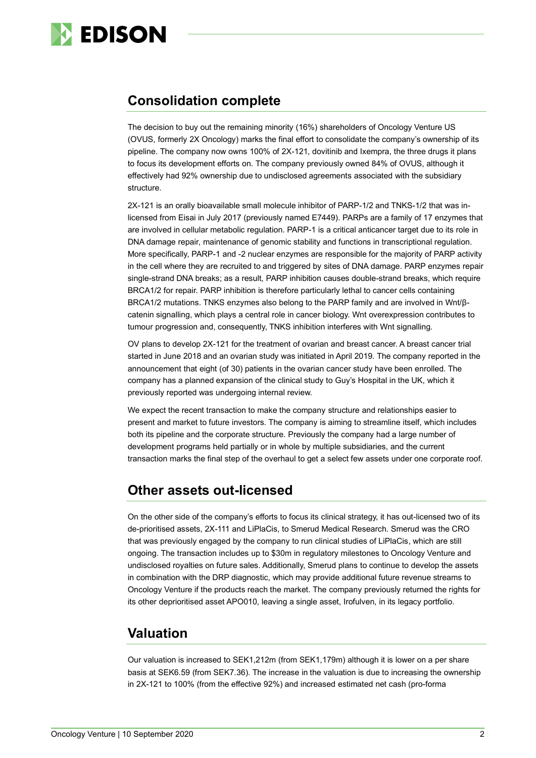

## **Consolidation complete**

The decision to buy out the remaining minority (16%) shareholders of Oncology Venture US (OVUS, formerly 2X Oncology) marks the final effort to consolidate the company's ownership of its pipeline. The company now owns 100% of 2X-121, dovitinib and Ixempra, the three drugs it plans to focus its development efforts on. The company previously owned 84% of OVUS, although it effectively had 92% ownership due to undisclosed agreements associated with the subsidiary structure.

2X-121 is an orally bioavailable small molecule inhibitor of PARP-1/2 and TNKS-1/2 that was inlicensed from Eisai in July 2017 (previously named E7449). PARPs are a family of 17 enzymes that are involved in cellular metabolic regulation. PARP-1 is a critical anticancer target due to its role in DNA damage repair, maintenance of genomic stability and functions in transcriptional regulation. More specifically, PARP-1 and -2 nuclear enzymes are responsible for the majority of PARP activity in the cell where they are recruited to and triggered by sites of DNA damage. PARP enzymes repair single-strand DNA breaks; as a result, PARP inhibition causes double-strand breaks, which require BRCA1/2 for repair. PARP inhibition is therefore particularly lethal to cancer cells containing BRCA1/2 mutations. TNKS enzymes also belong to the PARP family and are involved in Wnt/βcatenin signalling, which plays a central role in cancer biology. Wnt overexpression contributes to tumour progression and, consequently, TNKS inhibition interferes with Wnt signalling.

OV plans to develop 2X-121 for the treatment of ovarian and breast cancer. A breast cancer trial started in June 2018 and an ovarian study was initiated in April 2019. The company reported in the announcement that eight (of 30) patients in the ovarian cancer study have been enrolled. The company has a planned expansion of the clinical study to Guy's Hospital in the UK, which it previously reported was undergoing internal review.

We expect the recent transaction to make the company structure and relationships easier to present and market to future investors. The company is aiming to streamline itself, which includes both its pipeline and the corporate structure. Previously the company had a large number of development programs held partially or in whole by multiple subsidiaries, and the current transaction marks the final step of the overhaul to get a select few assets under one corporate roof.

## **Other assets out-licensed**

On the other side of the company's efforts to focus its clinical strategy, it has out-licensed two of its de-prioritised assets, 2X-111 and LiPlaCis, to Smerud Medical Research. Smerud was the CRO that was previously engaged by the company to run clinical studies of LiPlaCis, which are still ongoing. The transaction includes up to \$30m in regulatory milestones to Oncology Venture and undisclosed royalties on future sales. Additionally, Smerud plans to continue to develop the assets in combination with the DRP diagnostic, which may provide additional future revenue streams to Oncology Venture if the products reach the market. The company previously returned the rights for its other deprioritised asset APO010, leaving a single asset, Irofulven, in its legacy portfolio.

## **Valuation**

Our valuation is increased to SEK1,212m (from SEK1,179m) although it is lower on a per share basis at SEK6.59 (from SEK7.36). The increase in the valuation is due to increasing the ownership in 2X-121 to 100% (from the effective 92%) and increased estimated net cash (pro-forma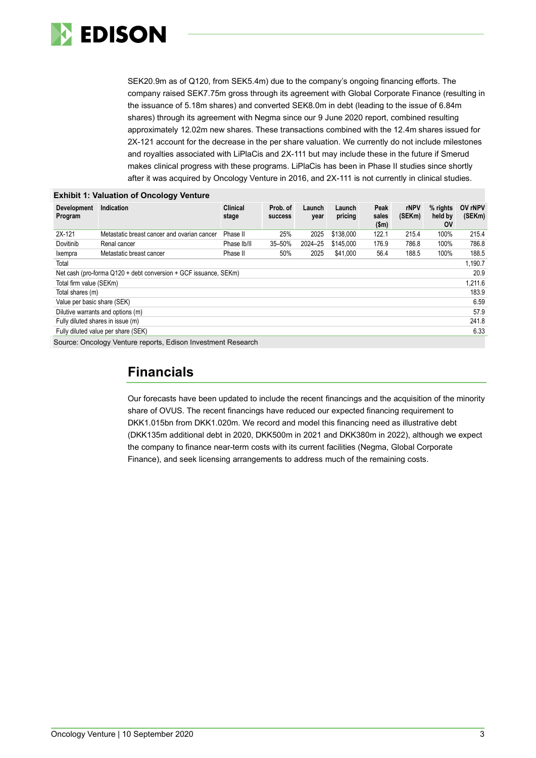

SEK20.9m as of Q120, from SEK5.4m) due to the company's ongoing financing efforts. The company raised SEK7.75m gross through its agreement with Global Corporate Finance (resulting in the issuance of 5.18m shares) and converted SEK8.0m in debt (leading to the issue of 6.84m shares) through its agreement with Negma since our 9 June 2020 report, combined resulting approximately 12.02m new shares. These transactions combined with the 12.4m shares issued for 2X-121 account for the decrease in the per share valuation. We currently do not include milestones and royalties associated with LiPlaCis and 2X-111 but may include these in the future if Smerud makes clinical progress with these programs. LiPlaCis has been in Phase II studies since shortly after it was acquired by Oncology Venture in 2016, and 2X-111 is not currently in clinical studies.

|                                                                  | <b>Exhibit 1: Valuation of Oncology Venture</b> |                          |                            |                |                   |                        |                       |                                    |                   |
|------------------------------------------------------------------|-------------------------------------------------|--------------------------|----------------------------|----------------|-------------------|------------------------|-----------------------|------------------------------------|-------------------|
| Development<br>Program                                           | Indication                                      | <b>Clinical</b><br>stage | Prob. of<br><b>SUCCESS</b> | Launch<br>year | Launch<br>pricing | Peak<br>sales<br>\$m\$ | <b>rNPV</b><br>(SEKm) | $%$ rights<br>held by<br><b>OV</b> | OV rNPV<br>(SEKm) |
| 2X-121                                                           | Metastatic breast cancer and ovarian cancer     | Phase II                 | 25%                        | 2025           | \$138,000         | 122.1                  | 215.4                 | 100%                               | 215.4             |
| Dovitinib                                                        | Renal cancer                                    | Phase Ib/II              | 35-50%                     | 2024-25        | \$145.000         | 176.9                  | 786.8                 | 100%                               | 786.8             |
| Ixempra                                                          | Metastatic breast cancer                        | Phase II                 | 50%                        | 2025           | \$41,000          | 56.4                   | 188.5                 | 100%                               | 188.5             |
| Total                                                            |                                                 |                          |                            |                |                   |                        |                       |                                    | 1.190.7           |
| Net cash (pro-forma Q120 + debt conversion + GCF issuance, SEKm) |                                                 |                          |                            |                |                   |                        | 20.9                  |                                    |                   |
| Total firm value (SEKm)                                          |                                                 |                          |                            |                |                   | 1,211.6                |                       |                                    |                   |
| Total shares (m)                                                 |                                                 |                          |                            |                |                   | 183.9                  |                       |                                    |                   |
| Value per basic share (SEK)                                      |                                                 |                          |                            |                |                   | 6.59                   |                       |                                    |                   |
| Dilutive warrants and options (m)                                |                                                 |                          |                            |                |                   | 57.9                   |                       |                                    |                   |
| Fully diluted shares in issue (m)                                |                                                 |                          |                            |                |                   |                        | 241.8                 |                                    |                   |
| Fully diluted value per share (SEK)                              |                                                 |                          |                            |                |                   |                        | 6.33                  |                                    |                   |
| Source: Oncology Venture reports, Edison Investment Research     |                                                 |                          |                            |                |                   |                        |                       |                                    |                   |

## **Financials**

Our forecasts have been updated to include the recent financings and the acquisition of the minority share of OVUS. The recent financings have reduced our expected financing requirement to DKK1.015bn from DKK1.020m. We record and model this financing need as illustrative debt (DKK135m additional debt in 2020, DKK500m in 2021 and DKK380m in 2022), although we expect the company to finance near-term costs with its current facilities (Negma, Global Corporate Finance), and seek licensing arrangements to address much of the remaining costs.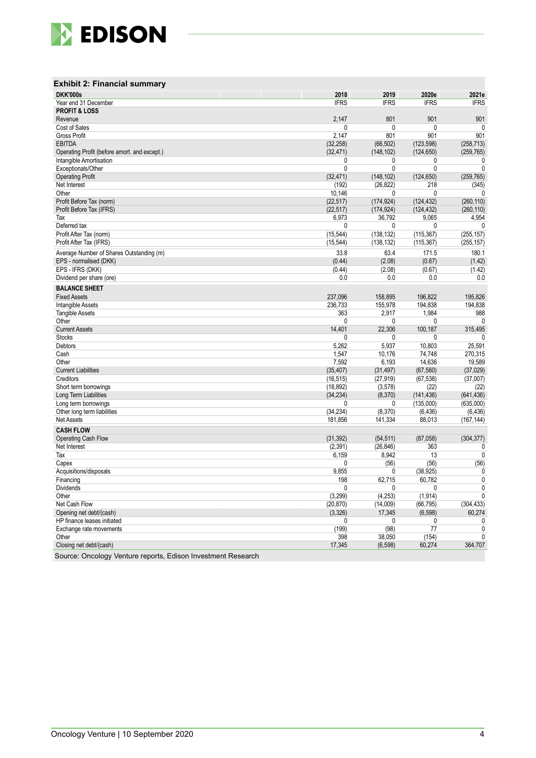

| <b>Exhibit 2: Financial summary</b>          |              |              |              |              |
|----------------------------------------------|--------------|--------------|--------------|--------------|
| <b>DKK'000s</b>                              | 2018         | 2019         | 2020e        | 2021e        |
| Year end 31 December                         | <b>IFRS</b>  | <b>IFRS</b>  | <b>IFRS</b>  | <b>IFRS</b>  |
| <b>PROFIT &amp; LOSS</b>                     |              |              |              |              |
| Revenue                                      | 2,147        | 801          | 901          | 901          |
| Cost of Sales                                | 0            | $\mathbf{0}$ | 0            | $\mathbf{0}$ |
| Gross Profit                                 | 2,147        | 801          | 901          | 901          |
| <b>EBITDA</b>                                | (32, 258)    | (66, 502)    | (123, 598)   | (258, 713)   |
| Operating Profit (before amort. and except.) | (32, 471)    | (148, 102)   | (124, 650)   | (259, 765)   |
| Intangible Amortisation                      | 0            | 0            | 0            | 0            |
| Exceptionals/Other                           | 0            | $\mathbf{0}$ | 0            | 0            |
| <b>Operating Profit</b>                      | (32, 471)    | (148, 102)   | (124, 650)   | (259, 765)   |
| Net Interest                                 | (192)        | (26, 822)    | 218          | (345)        |
| Other                                        | 10,146       | $\mathbf{0}$ | 0            | 0            |
| Profit Before Tax (norm)                     | (22, 517)    | (174, 924)   | (124, 432)   | (260, 110)   |
| Profit Before Tax (IFRS)                     | (22, 517)    | (174, 924)   | (124, 432)   | (260, 110)   |
| Tax                                          | 6,973        | 36,792       | 9,065        | 4,954        |
| Deferred tax                                 | 0            | $\mathbf{0}$ | 0            | 0            |
| Profit After Tax (norm)                      | (15, 544)    | (138, 132)   | (115, 367)   | (255, 157)   |
| Profit After Tax (IFRS)                      | (15, 544)    | (138, 132)   | (115, 367)   | (255, 157)   |
|                                              |              |              |              |              |
| Average Number of Shares Outstanding (m)     | 33.8         | 63.4         | 171.5        | 180.1        |
| EPS - normalised (DKK)                       | (0.44)       | (2.08)       | (0.67)       | (1.42)       |
| EPS - IFRS (DKK)                             | (0.44)       | (2.08)       | (0.67)       | (1.42)       |
| Dividend per share (ore)                     | 0.0          | 0.0          | 0.0          | 0.0          |
| <b>BALANCE SHEET</b>                         |              |              |              |              |
| <b>Fixed Assets</b>                          | 237,096      | 158.895      | 196,822      | 195,826      |
| Intangible Assets                            | 236,733      | 155,978      | 194.838      | 194,838      |
| <b>Tangible Assets</b>                       | 363          | 2,917        | 1,984        | 988          |
| Other                                        | 0            | $\mathbf{0}$ | $\mathbf{0}$ | 0            |
| <b>Current Assets</b>                        | 14,401       | 22,306       | 100,187      | 315,495      |
| <b>Stocks</b>                                | 0            | 0            | 0            | $\mathbf{0}$ |
| Debtors                                      | 5,262        | 5,937        | 10,803       | 25,591       |
| Cash                                         | 1,547        | 10,176       | 74,748       | 270,315      |
| Other                                        | 7,592        | 6,193        | 14,636       | 19,589       |
| <b>Current Liabilities</b>                   | (35, 407)    | (31, 497)    | (67, 560)    | (37, 029)    |
| Creditors                                    | (16, 515)    | (27, 919)    | (67, 538)    | (37,007)     |
| Short term borrowings                        | (18, 892)    | (3,578)      | (22)         | (22)         |
| Long Term Liabilities                        | (34, 234)    | (8,370)      | (141, 436)   | (641, 436)   |
| Long term borrowings                         | $\mathbf{0}$ | 0            | (135,000)    | (635,000)    |
| Other long term liabilities                  | (34, 234)    | (8,370)      | (6, 436)     | (6, 436)     |
| <b>Net Assets</b>                            | 181,856      | 141,334      | 88,013       | (167, 144)   |
|                                              |              |              |              |              |
| <b>CASH FLOW</b>                             |              |              |              |              |
| Operating Cash Flow                          | (31, 392)    | (54, 511)    | (87,058)     | (304, 377)   |
| Net Interest                                 | (2, 391)     | (26, 846)    | 363          | 0            |
| Tax                                          | 6,159        | 8,942        | 13           | 0            |
| Capex                                        | 0            | (56)         | (56)         | (56)         |
| Acquisitions/disposals                       | 9,855        | $\mathbf{0}$ | (38, 925)    | 0            |
| <b>Financing</b>                             | 198          | 62,715       | 60,782       | $\mathbf 0$  |
| Dividends                                    | 0            | 0            | 0            | 0            |
| Other                                        | (3,299)      | (4, 253)     | (1, 914)     | 0            |
| Net Cash Flow                                | (20, 870)    | (14,009)     | (66, 795)    | (304, 433)   |
| Opening net debt/(cash)                      | (3,326)      | 17,345       | (6, 598)     | 60,274       |
| HP finance leases initiated                  | 0            | 0            | 0            | 0            |
| Exchange rate movements                      | (199)        | (98)         | 77           | 0            |
| Other                                        | 398          | 38,050       | (154)        | 0            |
| Closing net debt/(cash)                      | 17,345       | (6, 598)     | 60,274       | 364,707      |
|                                              |              |              |              |              |

Source: Oncology Venture reports, Edison Investment Research